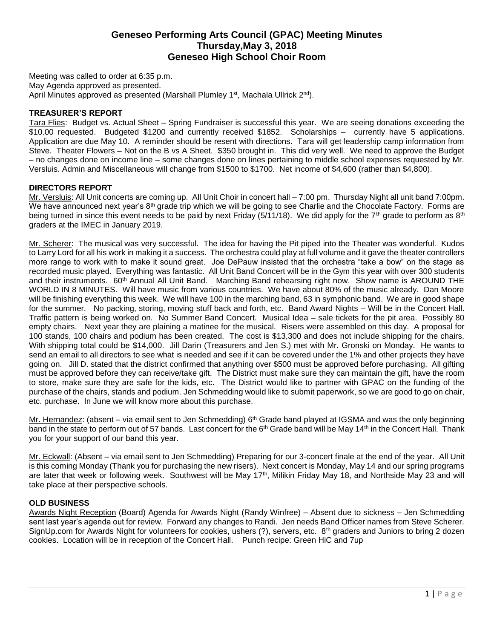# **Geneseo Performing Arts Council (GPAC) Meeting Minutes Thursday,May 3, 2018 Geneseo High School Choir Room**

Meeting was called to order at 6:35 p.m. May Agenda approved as presented. April Minutes approved as presented (Marshall Plumley 1<sup>st</sup>, Machala Ullrick 2<sup>nd</sup>).

### **TREASURER'S REPORT**

Tara Flies: Budget vs. Actual Sheet – Spring Fundraiser is successful this year. We are seeing donations exceeding the \$10.00 requested. Budgeted \$1200 and currently received \$1852. Scholarships – currently have 5 applications. Application are due May 10. A reminder should be resent with directions. Tara will get leadership camp information from Steve. Theater Flowers – Not on the B vs A Sheet. \$350 brought in. This did very well. We need to approve the Budget – no changes done on income line – some changes done on lines pertaining to middle school expenses requested by Mr. Versluis. Admin and Miscellaneous will change from \$1500 to \$1700. Net income of \$4,600 (rather than \$4,800).

### **DIRECTORS REPORT**

Mr. Versluis: All Unit concerts are coming up. All Unit Choir in concert hall – 7:00 pm. Thursday Night all unit band 7:00pm. We have announced next year's  $8<sup>th</sup>$  grade trip which we will be going to see Charlie and the Chocolate Factory. Forms are being turned in since this event needs to be paid by next Friday (5/11/18). We did apply for the 7<sup>th</sup> grade to perform as  $8<sup>th</sup>$ graders at the IMEC in January 2019.

Mr. Scherer: The musical was very successful. The idea for having the Pit piped into the Theater was wonderful. Kudos to Larry Lord for all his work in making it a success. The orchestra could play at full volume and it gave the theater controllers more range to work with to make it sound great. Joe DePauw insisted that the orchestra "take a bow" on the stage as recorded music played. Everything was fantastic. All Unit Band Concert will be in the Gym this year with over 300 students and their instruments. 60<sup>th</sup> Annual All Unit Band. Marching Band rehearsing right now. Show name is AROUND THE WORLD IN 8 MINUTES. Will have music from various countries. We have about 80% of the music already. Dan Moore will be finishing everything this week. We will have 100 in the marching band, 63 in symphonic band. We are in good shape for the summer. No packing, storing, moving stuff back and forth, etc. Band Award Nights – Will be in the Concert Hall. Traffic pattern is being worked on. No Summer Band Concert. Musical Idea – sale tickets for the pit area. Possibly 80 empty chairs. Next year they are plaining a matinee for the musical. Risers were assembled on this day. A proposal for 100 stands, 100 chairs and podium has been created. The cost is \$13,300 and does not include shipping for the chairs. With shipping total could be \$14,000. Jill Darin (Treasurers and Jen S.) met with Mr. Gronski on Monday. He wants to send an email to all directors to see what is needed and see if it can be covered under the 1% and other projects they have going on. Jill D. stated that the district confirmed that anything over \$500 must be approved before purchasing. All gifting must be approved before they can receive/take gift. The District must make sure they can maintain the gift, have the room to store, make sure they are safe for the kids, etc. The District would like to partner with GPAC on the funding of the purchase of the chairs, stands and podium. Jen Schmedding would like to submit paperwork, so we are good to go on chair, etc. purchase. In June we will know more about this purchase.

Mr. Hernandez: (absent – via email sent to Jen Schmedding)  $6<sup>th</sup>$  Grade band played at IGSMA and was the only beginning band in the state to perform out of 57 bands. Last concert for the 6<sup>th</sup> Grade band will be May 14<sup>th</sup> in the Concert Hall. Thank you for your support of our band this year.

Mr. Eckwall: (Absent – via email sent to Jen Schmedding) Preparing for our 3-concert finale at the end of the year. All Unit is this coming Monday (Thank you for purchasing the new risers). Next concert is Monday, May 14 and our spring programs are later that week or following week. Southwest will be May 17<sup>th</sup>, Milikin Friday May 18, and Northside May 23 and will take place at their perspective schools.

#### **OLD BUSINESS**

Awards Night Reception (Board) Agenda for Awards Night (Randy Winfree) – Absent due to sickness – Jen Schmedding sent last year's agenda out for review. Forward any changes to Randi. Jen needs Band Officer names from Steve Scherer. SignUp.com for Awards Night for volunteers for cookies, ushers (?), servers, etc. 8<sup>th</sup> graders and Juniors to bring 2 dozen cookies. Location will be in reception of the Concert Hall. Punch recipe: Green HiC and 7up